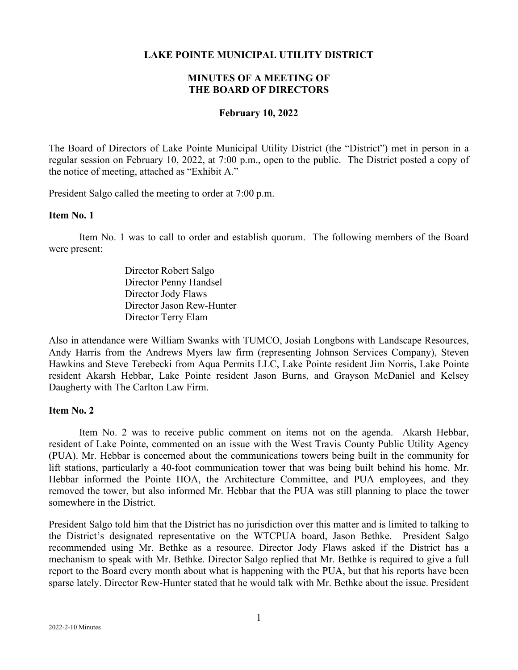## **LAKE POINTE MUNICIPAL UTILITY DISTRICT**

# **MINUTES OF A MEETING OF THE BOARD OF DIRECTORS**

#### **February 10, 2022**

The Board of Directors of Lake Pointe Municipal Utility District (the "District") met in person in a regular session on February 10, 2022, at 7:00 p.m., open to the public. The District posted a copy of the notice of meeting, attached as "Exhibit A."

President Salgo called the meeting to order at 7:00 p.m.

#### **Item No. 1**

Item No. 1 was to call to order and establish quorum. The following members of the Board were present:

> Director Robert Salgo Director Penny Handsel Director Jody Flaws Director Jason Rew-Hunter Director Terry Elam

Also in attendance were William Swanks with TUMCO, Josiah Longbons with Landscape Resources, Andy Harris from the Andrews Myers law firm (representing Johnson Services Company), Steven Hawkins and Steve Terebecki from Aqua Permits LLC, Lake Pointe resident Jim Norris, Lake Pointe resident Akarsh Hebbar, Lake Pointe resident Jason Burns, and Grayson McDaniel and Kelsey Daugherty with The Carlton Law Firm.

# **Item No. 2**

Item No. 2 was to receive public comment on items not on the agenda. Akarsh Hebbar, resident of Lake Pointe, commented on an issue with the West Travis County Public Utility Agency (PUA). Mr. Hebbar is concerned about the communications towers being built in the community for lift stations, particularly a 40-foot communication tower that was being built behind his home. Mr. Hebbar informed the Pointe HOA, the Architecture Committee, and PUA employees, and they removed the tower, but also informed Mr. Hebbar that the PUA was still planning to place the tower somewhere in the District.

President Salgo told him that the District has no jurisdiction over this matter and is limited to talking to the District's designated representative on the WTCPUA board, Jason Bethke. President Salgo recommended using Mr. Bethke as a resource. Director Jody Flaws asked if the District has a mechanism to speak with Mr. Bethke. Director Salgo replied that Mr. Bethke is required to give a full report to the Board every month about what is happening with the PUA, but that his reports have been sparse lately. Director Rew-Hunter stated that he would talk with Mr. Bethke about the issue. President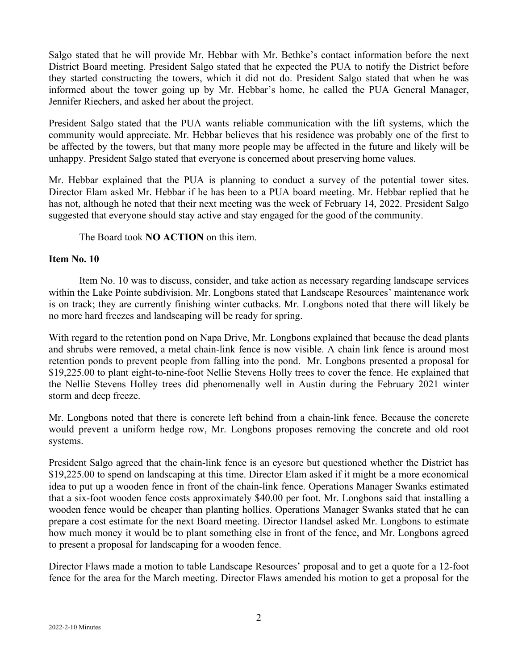Salgo stated that he will provide Mr. Hebbar with Mr. Bethke's contact information before the next District Board meeting. President Salgo stated that he expected the PUA to notify the District before they started constructing the towers, which it did not do. President Salgo stated that when he was informed about the tower going up by Mr. Hebbar's home, he called the PUA General Manager, Jennifer Riechers, and asked her about the project.

President Salgo stated that the PUA wants reliable communication with the lift systems, which the community would appreciate. Mr. Hebbar believes that his residence was probably one of the first to be affected by the towers, but that many more people may be affected in the future and likely will be unhappy. President Salgo stated that everyone is concerned about preserving home values.

Mr. Hebbar explained that the PUA is planning to conduct a survey of the potential tower sites. Director Elam asked Mr. Hebbar if he has been to a PUA board meeting. Mr. Hebbar replied that he has not, although he noted that their next meeting was the week of February 14, 2022. President Salgo suggested that everyone should stay active and stay engaged for the good of the community.

The Board took **NO ACTION** on this item.

# **Item No. 10**

Item No. 10 was to discuss, consider, and take action as necessary regarding landscape services within the Lake Pointe subdivision. Mr. Longbons stated that Landscape Resources' maintenance work is on track; they are currently finishing winter cutbacks. Mr. Longbons noted that there will likely be no more hard freezes and landscaping will be ready for spring.

With regard to the retention pond on Napa Drive, Mr. Longbons explained that because the dead plants and shrubs were removed, a metal chain-link fence is now visible. A chain link fence is around most retention ponds to prevent people from falling into the pond. Mr. Longbons presented a proposal for \$19,225.00 to plant eight-to-nine-foot Nellie Stevens Holly trees to cover the fence. He explained that the Nellie Stevens Holley trees did phenomenally well in Austin during the February 2021 winter storm and deep freeze.

Mr. Longbons noted that there is concrete left behind from a chain-link fence. Because the concrete would prevent a uniform hedge row, Mr. Longbons proposes removing the concrete and old root systems.

President Salgo agreed that the chain-link fence is an eyesore but questioned whether the District has \$19,225.00 to spend on landscaping at this time. Director Elam asked if it might be a more economical idea to put up a wooden fence in front of the chain-link fence. Operations Manager Swanks estimated that a six-foot wooden fence costs approximately \$40.00 per foot. Mr. Longbons said that installing a wooden fence would be cheaper than planting hollies. Operations Manager Swanks stated that he can prepare a cost estimate for the next Board meeting. Director Handsel asked Mr. Longbons to estimate how much money it would be to plant something else in front of the fence, and Mr. Longbons agreed to present a proposal for landscaping for a wooden fence.

Director Flaws made a motion to table Landscape Resources' proposal and to get a quote for a 12-foot fence for the area for the March meeting. Director Flaws amended his motion to get a proposal for the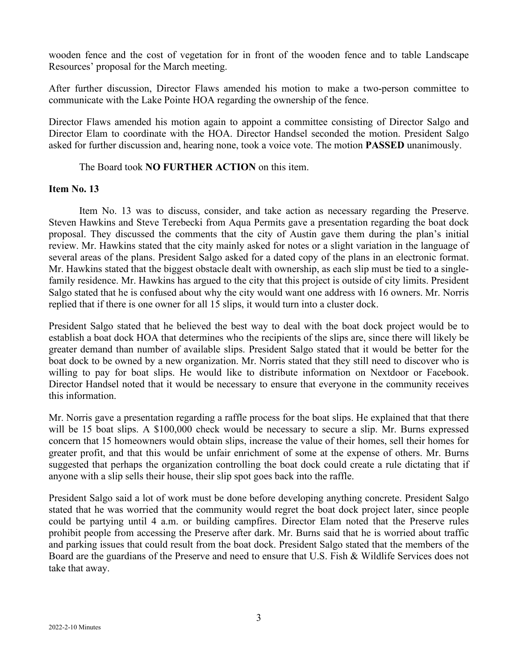wooden fence and the cost of vegetation for in front of the wooden fence and to table Landscape Resources' proposal for the March meeting.

After further discussion, Director Flaws amended his motion to make a two-person committee to communicate with the Lake Pointe HOA regarding the ownership of the fence.

Director Flaws amended his motion again to appoint a committee consisting of Director Salgo and Director Elam to coordinate with the HOA. Director Handsel seconded the motion. President Salgo asked for further discussion and, hearing none, took a voice vote. The motion **PASSED** unanimously.

## The Board took **NO FURTHER ACTION** on this item.

## **Item No. 13**

Item No. 13 was to discuss, consider, and take action as necessary regarding the Preserve. Steven Hawkins and Steve Terebecki from Aqua Permits gave a presentation regarding the boat dock proposal. They discussed the comments that the city of Austin gave them during the plan's initial review. Mr. Hawkins stated that the city mainly asked for notes or a slight variation in the language of several areas of the plans. President Salgo asked for a dated copy of the plans in an electronic format. Mr. Hawkins stated that the biggest obstacle dealt with ownership, as each slip must be tied to a singlefamily residence. Mr. Hawkins has argued to the city that this project is outside of city limits. President Salgo stated that he is confused about why the city would want one address with 16 owners. Mr. Norris replied that if there is one owner for all 15 slips, it would turn into a cluster dock.

President Salgo stated that he believed the best way to deal with the boat dock project would be to establish a boat dock HOA that determines who the recipients of the slips are, since there will likely be greater demand than number of available slips. President Salgo stated that it would be better for the boat dock to be owned by a new organization. Mr. Norris stated that they still need to discover who is willing to pay for boat slips. He would like to distribute information on Nextdoor or Facebook. Director Handsel noted that it would be necessary to ensure that everyone in the community receives this information.

Mr. Norris gave a presentation regarding a raffle process for the boat slips. He explained that that there will be 15 boat slips. A \$100,000 check would be necessary to secure a slip. Mr. Burns expressed concern that 15 homeowners would obtain slips, increase the value of their homes, sell their homes for greater profit, and that this would be unfair enrichment of some at the expense of others. Mr. Burns suggested that perhaps the organization controlling the boat dock could create a rule dictating that if anyone with a slip sells their house, their slip spot goes back into the raffle.

President Salgo said a lot of work must be done before developing anything concrete. President Salgo stated that he was worried that the community would regret the boat dock project later, since people could be partying until 4 a.m. or building campfires. Director Elam noted that the Preserve rules prohibit people from accessing the Preserve after dark. Mr. Burns said that he is worried about traffic and parking issues that could result from the boat dock. President Salgo stated that the members of the Board are the guardians of the Preserve and need to ensure that U.S. Fish & Wildlife Services does not take that away.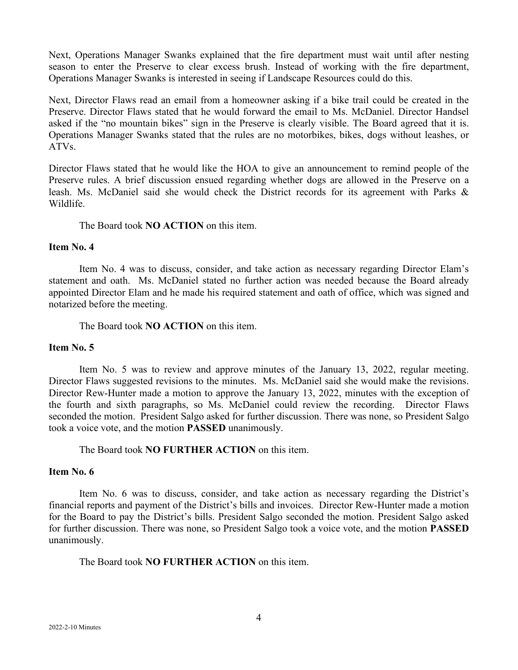Next, Operations Manager Swanks explained that the fire department must wait until after nesting season to enter the Preserve to clear excess brush. Instead of working with the fire department, Operations Manager Swanks is interested in seeing if Landscape Resources could do this.

Next, Director Flaws read an email from a homeowner asking if a bike trail could be created in the Preserve. Director Flaws stated that he would forward the email to Ms. McDaniel. Director Handsel asked if the "no mountain bikes" sign in the Preserve is clearly visible. The Board agreed that it is. Operations Manager Swanks stated that the rules are no motorbikes, bikes, dogs without leashes, or ATVs.

Director Flaws stated that he would like the HOA to give an announcement to remind people of the Preserve rules. A brief discussion ensued regarding whether dogs are allowed in the Preserve on a leash. Ms. McDaniel said she would check the District records for its agreement with Parks & Wildlife.

The Board took **NO ACTION** on this item.

## **Item No. 4**

Item No. 4 was to discuss, consider, and take action as necessary regarding Director Elam's statement and oath. Ms. McDaniel stated no further action was needed because the Board already appointed Director Elam and he made his required statement and oath of office, which was signed and notarized before the meeting.

The Board took **NO ACTION** on this item.

# **Item No. 5**

Item No. 5 was to review and approve minutes of the January 13, 2022, regular meeting. Director Flaws suggested revisions to the minutes. Ms. McDaniel said she would make the revisions. Director Rew-Hunter made a motion to approve the January 13, 2022, minutes with the exception of the fourth and sixth paragraphs, so Ms. McDaniel could review the recording. Director Flaws seconded the motion. President Salgo asked for further discussion. There was none, so President Salgo took a voice vote, and the motion **PASSED** unanimously.

The Board took **NO FURTHER ACTION** on this item.

# **Item No. 6**

Item No. 6 was to discuss, consider, and take action as necessary regarding the District's financial reports and payment of the District's bills and invoices. Director Rew-Hunter made a motion for the Board to pay the District's bills. President Salgo seconded the motion. President Salgo asked for further discussion. There was none, so President Salgo took a voice vote, and the motion **PASSED**  unanimously.

# The Board took **NO FURTHER ACTION** on this item.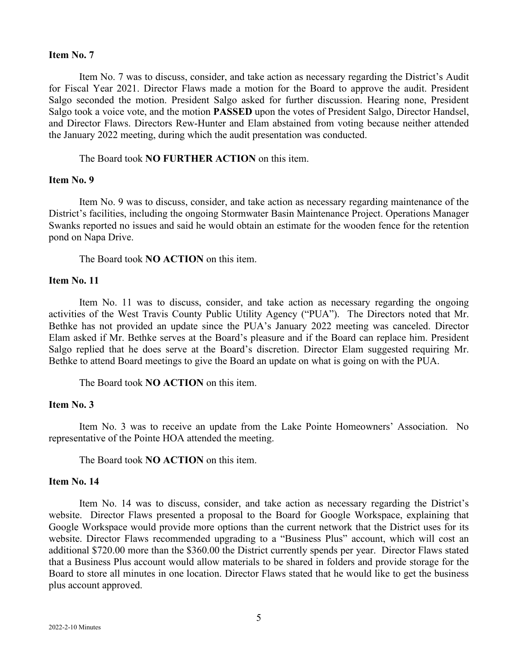#### **Item No. 7**

Item No. 7 was to discuss, consider, and take action as necessary regarding the District's Audit for Fiscal Year 2021. Director Flaws made a motion for the Board to approve the audit. President Salgo seconded the motion. President Salgo asked for further discussion. Hearing none, President Salgo took a voice vote, and the motion **PASSED** upon the votes of President Salgo, Director Handsel, and Director Flaws. Directors Rew-Hunter and Elam abstained from voting because neither attended the January 2022 meeting, during which the audit presentation was conducted.

The Board took **NO FURTHER ACTION** on this item.

#### **Item No. 9**

Item No. 9 was to discuss, consider, and take action as necessary regarding maintenance of the District's facilities, including the ongoing Stormwater Basin Maintenance Project. Operations Manager Swanks reported no issues and said he would obtain an estimate for the wooden fence for the retention pond on Napa Drive.

The Board took **NO ACTION** on this item.

## **Item No. 11**

Item No. 11 was to discuss, consider, and take action as necessary regarding the ongoing activities of the West Travis County Public Utility Agency ("PUA"). The Directors noted that Mr. Bethke has not provided an update since the PUA's January 2022 meeting was canceled. Director Elam asked if Mr. Bethke serves at the Board's pleasure and if the Board can replace him. President Salgo replied that he does serve at the Board's discretion. Director Elam suggested requiring Mr. Bethke to attend Board meetings to give the Board an update on what is going on with the PUA.

The Board took **NO ACTION** on this item.

## **Item No. 3**

Item No. 3 was to receive an update from the Lake Pointe Homeowners' Association. No representative of the Pointe HOA attended the meeting.

The Board took **NO ACTION** on this item.

## **Item No. 14**

Item No. 14 was to discuss, consider, and take action as necessary regarding the District's website. Director Flaws presented a proposal to the Board for Google Workspace, explaining that Google Workspace would provide more options than the current network that the District uses for its website. Director Flaws recommended upgrading to a "Business Plus" account, which will cost an additional \$720.00 more than the \$360.00 the District currently spends per year. Director Flaws stated that a Business Plus account would allow materials to be shared in folders and provide storage for the Board to store all minutes in one location. Director Flaws stated that he would like to get the business plus account approved.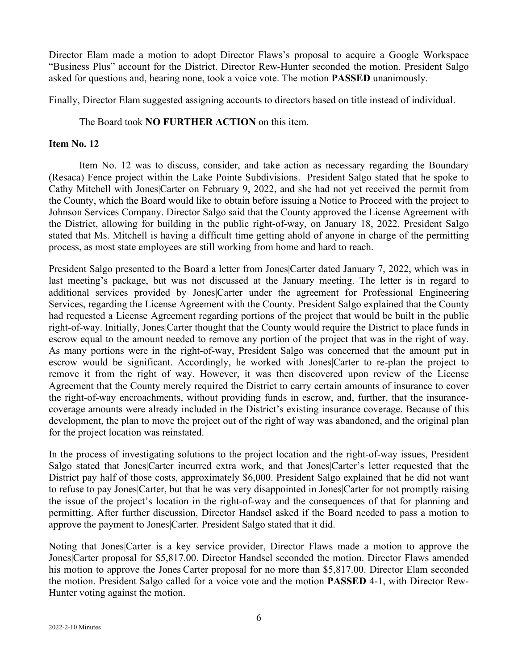Director Elam made a motion to adopt Director Flaws's proposal to acquire a Google Workspace "Business Plus" account for the District. Director Rew-Hunter seconded the motion. President Salgo asked for questions and, hearing none, took a voice vote. The motion **PASSED** unanimously.

Finally, Director Elam suggested assigning accounts to directors based on title instead of individual.

# The Board took **NO FURTHER ACTION** on this item.

# **Item No. 12**

Item No. 12 was to discuss, consider, and take action as necessary regarding the Boundary (Resaca) Fence project within the Lake Pointe Subdivisions. President Salgo stated that he spoke to Cathy Mitchell with Jones|Carter on February 9, 2022, and she had not yet received the permit from the County, which the Board would like to obtain before issuing a Notice to Proceed with the project to Johnson Services Company. Director Salgo said that the County approved the License Agreement with the District, allowing for building in the public right-of-way, on January 18, 2022. President Salgo stated that Ms. Mitchell is having a difficult time getting ahold of anyone in charge of the permitting process, as most state employees are still working from home and hard to reach.

President Salgo presented to the Board a letter from Jones|Carter dated January 7, 2022, which was in last meeting's package, but was not discussed at the January meeting. The letter is in regard to additional services provided by Jones|Carter under the agreement for Professional Engineering Services, regarding the License Agreement with the County. President Salgo explained that the County had requested a License Agreement regarding portions of the project that would be built in the public right-of-way. Initially, Jones|Carter thought that the County would require the District to place funds in escrow equal to the amount needed to remove any portion of the project that was in the right of way. As many portions were in the right-of-way, President Salgo was concerned that the amount put in escrow would be significant. Accordingly, he worked with Jones|Carter to re-plan the project to remove it from the right of way. However, it was then discovered upon review of the License Agreement that the County merely required the District to carry certain amounts of insurance to cover the right-of-way encroachments, without providing funds in escrow, and, further, that the insurancecoverage amounts were already included in the District's existing insurance coverage. Because of this development, the plan to move the project out of the right of way was abandoned, and the original plan for the project location was reinstated.

In the process of investigating solutions to the project location and the right-of-way issues, President Salgo stated that Jones|Carter incurred extra work, and that Jones|Carter's letter requested that the District pay half of those costs, approximately \$6,000. President Salgo explained that he did not want to refuse to pay Jones|Carter, but that he was very disappointed in Jones|Carter for not promptly raising the issue of the project's location in the right-of-way and the consequences of that for planning and permitting. After further discussion, Director Handsel asked if the Board needed to pass a motion to approve the payment to Jones|Carter. President Salgo stated that it did.

Noting that Jones|Carter is a key service provider, Director Flaws made a motion to approve the Jones|Carter proposal for \$5,817.00. Director Handsel seconded the motion. Director Flaws amended his motion to approve the Jones Carter proposal for no more than \$5,817.00. Director Elam seconded the motion. President Salgo called for a voice vote and the motion **PASSED** 4-1, with Director Rew-Hunter voting against the motion.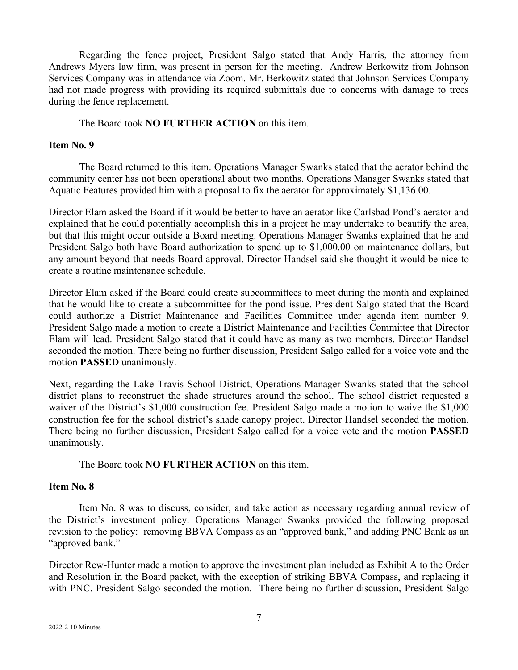Regarding the fence project, President Salgo stated that Andy Harris, the attorney from Andrews Myers law firm, was present in person for the meeting. Andrew Berkowitz from Johnson Services Company was in attendance via Zoom. Mr. Berkowitz stated that Johnson Services Company had not made progress with providing its required submittals due to concerns with damage to trees during the fence replacement.

The Board took **NO FURTHER ACTION** on this item.

## **Item No. 9**

The Board returned to this item. Operations Manager Swanks stated that the aerator behind the community center has not been operational about two months. Operations Manager Swanks stated that Aquatic Features provided him with a proposal to fix the aerator for approximately \$1,136.00.

Director Elam asked the Board if it would be better to have an aerator like Carlsbad Pond's aerator and explained that he could potentially accomplish this in a project he may undertake to beautify the area, but that this might occur outside a Board meeting. Operations Manager Swanks explained that he and President Salgo both have Board authorization to spend up to \$1,000.00 on maintenance dollars, but any amount beyond that needs Board approval. Director Handsel said she thought it would be nice to create a routine maintenance schedule.

Director Elam asked if the Board could create subcommittees to meet during the month and explained that he would like to create a subcommittee for the pond issue. President Salgo stated that the Board could authorize a District Maintenance and Facilities Committee under agenda item number 9. President Salgo made a motion to create a District Maintenance and Facilities Committee that Director Elam will lead. President Salgo stated that it could have as many as two members. Director Handsel seconded the motion. There being no further discussion, President Salgo called for a voice vote and the motion **PASSED** unanimously.

Next, regarding the Lake Travis School District, Operations Manager Swanks stated that the school district plans to reconstruct the shade structures around the school. The school district requested a waiver of the District's \$1,000 construction fee. President Salgo made a motion to waive the \$1,000 construction fee for the school district's shade canopy project. Director Handsel seconded the motion. There being no further discussion, President Salgo called for a voice vote and the motion **PASSED** unanimously.

### The Board took **NO FURTHER ACTION** on this item.

## **Item No. 8**

Item No. 8 was to discuss, consider, and take action as necessary regarding annual review of the District's investment policy. Operations Manager Swanks provided the following proposed revision to the policy: removing BBVA Compass as an "approved bank," and adding PNC Bank as an "approved bank."

Director Rew-Hunter made a motion to approve the investment plan included as Exhibit A to the Order and Resolution in the Board packet, with the exception of striking BBVA Compass, and replacing it with PNC. President Salgo seconded the motion. There being no further discussion, President Salgo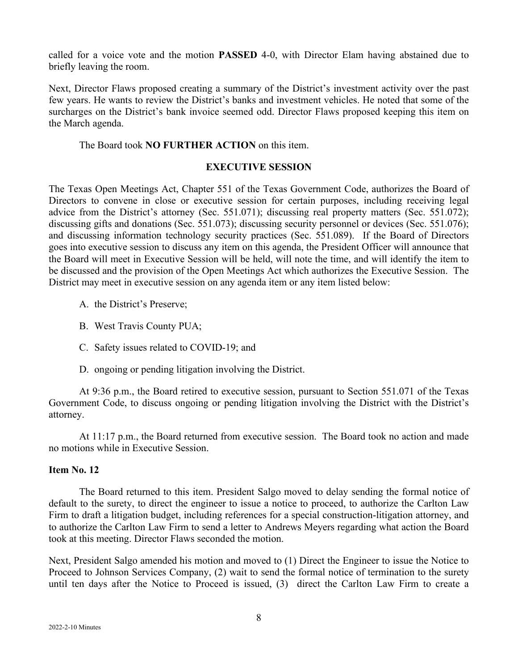called for a voice vote and the motion **PASSED** 4-0, with Director Elam having abstained due to briefly leaving the room.

Next, Director Flaws proposed creating a summary of the District's investment activity over the past few years. He wants to review the District's banks and investment vehicles. He noted that some of the surcharges on the District's bank invoice seemed odd. Director Flaws proposed keeping this item on the March agenda.

# The Board took **NO FURTHER ACTION** on this item.

### **EXECUTIVE SESSION**

The Texas Open Meetings Act, Chapter 551 of the Texas Government Code, authorizes the Board of Directors to convene in close or executive session for certain purposes, including receiving legal advice from the District's attorney (Sec. 551.071); discussing real property matters (Sec. 551.072); discussing gifts and donations (Sec. 551.073); discussing security personnel or devices (Sec. 551.076); and discussing information technology security practices (Sec. 551.089). If the Board of Directors goes into executive session to discuss any item on this agenda, the President Officer will announce that the Board will meet in Executive Session will be held, will note the time, and will identify the item to be discussed and the provision of the Open Meetings Act which authorizes the Executive Session. The District may meet in executive session on any agenda item or any item listed below:

- A. the District's Preserve;
- B. West Travis County PUA;
- C. Safety issues related to COVID-19; and
- D. ongoing or pending litigation involving the District.

At 9:36 p.m., the Board retired to executive session, pursuant to Section 551.071 of the Texas Government Code, to discuss ongoing or pending litigation involving the District with the District's attorney.

At 11:17 p.m., the Board returned from executive session. The Board took no action and made no motions while in Executive Session.

# **Item No. 12**

The Board returned to this item. President Salgo moved to delay sending the formal notice of default to the surety, to direct the engineer to issue a notice to proceed, to authorize the Carlton Law Firm to draft a litigation budget, including references for a special construction-litigation attorney, and to authorize the Carlton Law Firm to send a letter to Andrews Meyers regarding what action the Board took at this meeting. Director Flaws seconded the motion.

Next, President Salgo amended his motion and moved to (1) Direct the Engineer to issue the Notice to Proceed to Johnson Services Company, (2) wait to send the formal notice of termination to the surety until ten days after the Notice to Proceed is issued, (3) direct the Carlton Law Firm to create a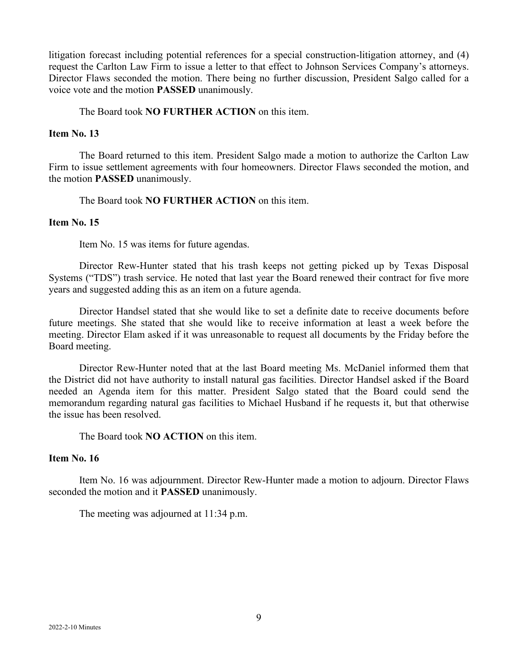litigation forecast including potential references for a special construction-litigation attorney, and (4) request the Carlton Law Firm to issue a letter to that effect to Johnson Services Company's attorneys. Director Flaws seconded the motion. There being no further discussion, President Salgo called for a voice vote and the motion **PASSED** unanimously.

## The Board took **NO FURTHER ACTION** on this item.

### **Item No. 13**

The Board returned to this item. President Salgo made a motion to authorize the Carlton Law Firm to issue settlement agreements with four homeowners. Director Flaws seconded the motion, and the motion **PASSED** unanimously.

The Board took **NO FURTHER ACTION** on this item.

#### **Item No. 15**

Item No. 15 was items for future agendas.

Director Rew-Hunter stated that his trash keeps not getting picked up by Texas Disposal Systems ("TDS") trash service. He noted that last year the Board renewed their contract for five more years and suggested adding this as an item on a future agenda.

Director Handsel stated that she would like to set a definite date to receive documents before future meetings. She stated that she would like to receive information at least a week before the meeting. Director Elam asked if it was unreasonable to request all documents by the Friday before the Board meeting.

Director Rew-Hunter noted that at the last Board meeting Ms. McDaniel informed them that the District did not have authority to install natural gas facilities. Director Handsel asked if the Board needed an Agenda item for this matter. President Salgo stated that the Board could send the memorandum regarding natural gas facilities to Michael Husband if he requests it, but that otherwise the issue has been resolved.

The Board took **NO ACTION** on this item.

## **Item No. 16**

Item No. 16 was adjournment. Director Rew-Hunter made a motion to adjourn. Director Flaws seconded the motion and it **PASSED** unanimously.

The meeting was adjourned at 11:34 p.m.